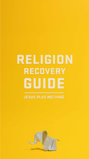# RELIGION RECOVERY

# 

#### **JESUS PLUS NOTHING**

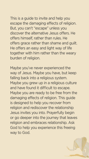

This is a guide to invite and help you escape the damaging effects of religion. But, you can't "escape" unless you discover the alternative Jesus offers. He offers himself, rather than rules. He offers grace rather than shame and guilt. He offers an easy and light way of life together with him rather than the weary burden of religion.

Maybe you've never experienced the way of Jesus. Maybe you have, but keep falling back into a religious system. Maybe you grew up in a religious culture and have found it difficult to escape. Maybe you are ready to be free from the damaging effects of religion. This guide is designed to help you recover from religion and rediscover the relationship Jesus invites you into. Prayerfully begin or go deeper into the journey that leaves religion and embraces relationship. Ask God to help you experience this freeing way to God.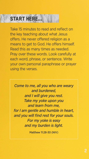

#### START HERE...

Take 15 minutes to read and reflect on the key teaching about what Jesus offers. He never offered religion as a means to get to God. He offers himself. Read this as many times as needed. Pray over these words. Look carefully at each word, phrase, or sentence. Write your own personal paraphrase or prayer using the verses.

*Come to me, all you who are weary and burdened, and I will give you rest. Take my yoke upon you and learn from me, for I am gentle and humble in heart, and you will find rest for your souls. For my yoke is easy and my burden is light.* 

Matthew 11:28-30 (NIV)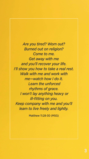

*Are you tired? Worn out? Burned out on religion? Come to me. Get away with me and you'll recover your life. I'll show you how to take a real rest. Walk with me and work with me—watch how I do it. Learn the unforced rhythms of grace. I won't lay anything heavy or ill-fitting on you. Keep company with me and you'll learn to live freely and lightly.*

Matthew 11:28-30 (MSG)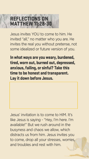## REFLECTIONS ON MATTHEW 11:28-30

Jesus invites YOU to come to him. He invited "all," no matter who you are. He invites the real you without pretense, not some idealized or future version of you.

In what ways are you weary, burdened, tired, worn out, burned out, depressed, anxious, failing, or sinful? Take this time to be honest and transparent.

### Lay it down before Jesus.

Jesus' invitation is to come to HIM. It's like Jesus is saying - "Hey, I'm here. I'm available!" But we rush around in the busyness and chaos we allow, which distracts us from him. Jesus invites you to come, drop all your stresses, worries, and troubles and rest with him.

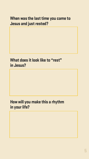5

#### When was the last time you came to Jesus and just rested?

#### What does it look like to "rest" in Jesus?

#### How will you make this a rhythm in your life?

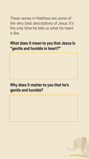These verses in Matthew are some of the very best descriptions of Jesus. It's the only time he tells us what his heart is like.

#### What does it mean to you that Jesus is "gentle and humble in heart?"

#### Why does it matter to you that he's gentle and humble?



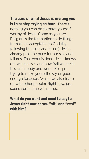The core of what Jesus is inviting you is this: stop trying so hard. There's nothing you can do to make yourself worthy of Jesus. Come as you are. Religion is the temptation to do things to make us acceptable to God (by following the rules and rituals). Jesus already paid the price for our sins and failures. That work is done. Jesus knows our weaknesses and how frail we are in this sinful body and world. So, quit trying to make yourself okay or good enough for Jesus (which we also try to do with other people). Right now, just spend some time with Jesus.

#### What do you want and need to say to Jesus right now as you "sit" and "rest" with him?

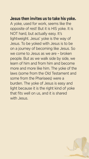#### Jesus then invites us to take his yoke. A yoke, used for work, seems like the opposite of rest! But it is HIS yoke. It is NOT hard, but actually easy. It's lightweight. Jesus' yoke is the way of Jesus. To be yoked with Jesus is to be on a journey of becoming like Jesus. So we come to Jesus as we are – broken people. But as we walk side by side, we learn of him and from him and become more and more like him. The yoke of the laws (some from the Old Testament and

some from the Pharisees) were a burden. The yoke of Jesus is easy and light because it is the right kind of yoke that fits well on us, and it is shared with Jesus.

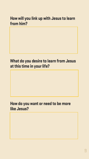#### How will you link up with Jesus to learn from him?

#### What do you desire to learn from Jesus at this time in your life?

#### How do you want or need to be more like Jesus?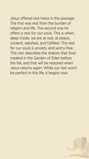Jesus offered rest twice in the passage. The first was rest from the burden of religion and life. The second one he offers is rest for our souls. This is when, deep inside, we are at rest, at peace, content, satisfied, and fulfilled. This rest for our souls is anxiety and worry-free. This rest describes the shalom that God created in the Garden of Eden before the fall, and that will be restored when Jesus returns again. While our rest won't be perfect in this life, it begins now.



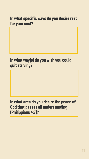#### In what specific ways do you desire rest for your soul?

#### In what way(s) do you wish you could quit striving?

#### In what area do you desire the peace of God that passes all understanding (Philippians 4:7)?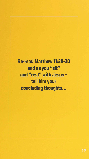

Re-read Matthew 11:28-30 and as you "sit" and "rest" with Jesus –

## tell him your concluding thoughts…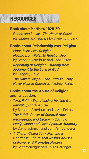

#### RESOURCES

**Book about Matthew 11:28-30**

*- Gentle and Lowly - The Heart of Christ for Sinners and Suffers* by Dane C. Ortland

#### **Books about Relationship over Religion**

- *More Jesus Less Religion - Moving from Rules to Relationship* by Stephen Arterburn and Jack Felton
- *Repenting of Religion Turning from Judgment to the Love of God* by Gregory Boyd
- *The Naked Gospel The Truth You May Never Hear in Church* by Andrew Farley

#### **Books about the Abuse of Religion and Its Leaders**

- *Toxic Faith Experiencing Healing from Painful Spiritual Abuse* by Stephen Arterburn and Jazck Felton
- *The Subtle Power of Spiritual Abuse Recognizing and Escaping Spiritual Manipulation and False Spiritual Authority* by David Johnson and Jeff Van Vonderen
- *A Church Called Tov Forming a Goodness Culture That Resists Abuses of Power and Promotes Healing* by Scot McKnight and Laura Barringer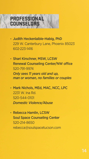

#### PROFESSIONAL COUNSELORS

- Judith Heckenlaible-Habig, PhD 229 W. Canterbury Lane, Phoenix 85023 602-223-1416
- Shari Kirschner, MSW, LCSW Renewal Counseling Center/NW office 520-791-9974  *Only sees 11 years old and up,*

 *man or woman, no families or couples*

- Mark Nichols, MEd, MAC, NCC, LPC 2231 W. Ina Rd. 520-544-0101  *Domestic Violence/Abuse*
- Rebecca Hamlin, LCSW Soul Space Counseling Center 520-214-8650 rebecca@soulspacetucson.com